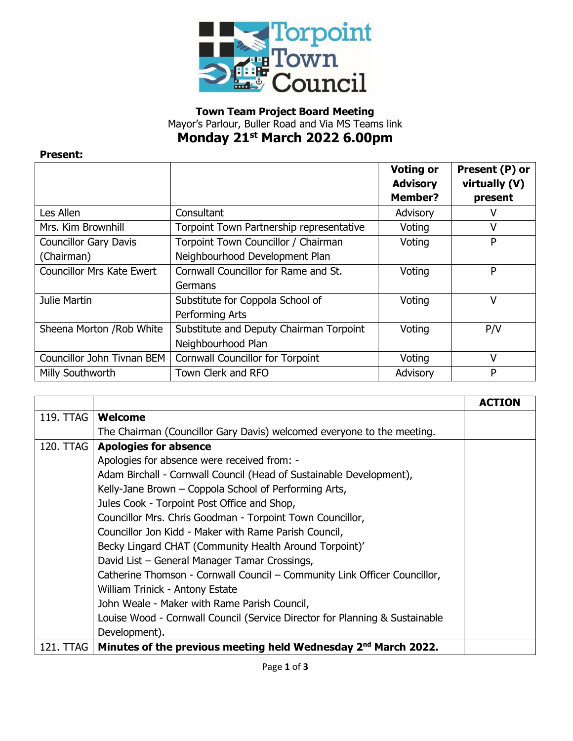

## **Town Team Project Board Meeting** Mayor's Parlour, Buller Road and Via MS Teams link **Monday 21 st March 2022 6.00pm**

## **Present:**

|                                  |                                          | <b>Voting or</b> | Present (P) or |
|----------------------------------|------------------------------------------|------------------|----------------|
|                                  |                                          | <b>Advisory</b>  | virtually (V)  |
|                                  |                                          | <b>Member?</b>   | present        |
| Les Allen                        | Consultant                               | Advisory         | v              |
| Mrs. Kim Brownhill               | Torpoint Town Partnership representative | Voting           | V              |
| <b>Councillor Gary Davis</b>     | Torpoint Town Councillor / Chairman      | Voting           | P              |
| (Chairman)                       | Neighbourhood Development Plan           |                  |                |
| <b>Councillor Mrs Kate Ewert</b> | Cornwall Councillor for Rame and St.     | Voting           | P              |
|                                  | Germans                                  |                  |                |
| Julie Martin                     | Substitute for Coppola School of         | Voting           | ν              |
|                                  | Performing Arts                          |                  |                |
| Sheena Morton / Rob White        | Substitute and Deputy Chairman Torpoint  | Voting           | P/V            |
|                                  | Neighbourhood Plan                       |                  |                |
| Councillor John Tivnan BEM       | <b>Cornwall Councillor for Torpoint</b>  | Voting           | ν              |
| Milly Southworth                 | Town Clerk and RFO                       | Advisory         | P              |

|           |                                                                             | <b>ACTION</b> |
|-----------|-----------------------------------------------------------------------------|---------------|
| 119. TTAG | <b>Welcome</b>                                                              |               |
|           | The Chairman (Councillor Gary Davis) welcomed everyone to the meeting.      |               |
| 120. TTAG | <b>Apologies for absence</b>                                                |               |
|           | Apologies for absence were received from: -                                 |               |
|           | Adam Birchall - Cornwall Council (Head of Sustainable Development),         |               |
|           | Kelly-Jane Brown - Coppola School of Performing Arts,                       |               |
|           | Jules Cook - Torpoint Post Office and Shop,                                 |               |
|           | Councillor Mrs. Chris Goodman - Torpoint Town Councillor,                   |               |
|           | Councillor Jon Kidd - Maker with Rame Parish Council,                       |               |
|           | Becky Lingard CHAT (Community Health Around Torpoint)'                      |               |
|           | David List - General Manager Tamar Crossings,                               |               |
|           | Catherine Thomson - Cornwall Council – Community Link Officer Councillor,   |               |
|           | William Trinick - Antony Estate                                             |               |
|           | John Weale - Maker with Rame Parish Council,                                |               |
|           | Louise Wood - Cornwall Council (Service Director for Planning & Sustainable |               |
|           | Development).                                                               |               |
| 121. TTAG | Minutes of the previous meeting held Wednesday 2 <sup>nd</sup> March 2022.  |               |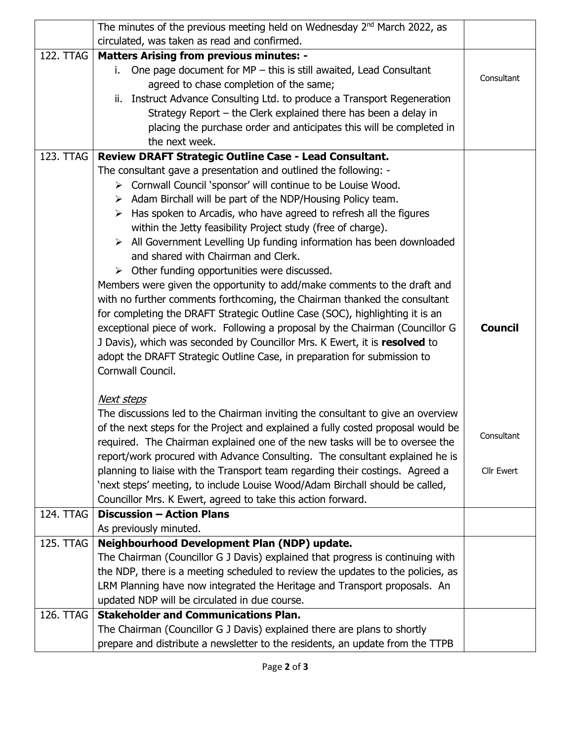|           | The minutes of the previous meeting held on Wednesday 2 <sup>nd</sup> March 2022, as |                   |  |
|-----------|--------------------------------------------------------------------------------------|-------------------|--|
|           | circulated, was taken as read and confirmed.                                         |                   |  |
| 122. TTAG | <b>Matters Arising from previous minutes: -</b>                                      |                   |  |
|           | One page document for MP - this is still awaited, Lead Consultant<br>i.              |                   |  |
|           | agreed to chase completion of the same;                                              | Consultant        |  |
|           | Instruct Advance Consulting Ltd. to produce a Transport Regeneration<br>ii.          |                   |  |
|           | Strategy Report – the Clerk explained there has been a delay in                      |                   |  |
|           | placing the purchase order and anticipates this will be completed in                 |                   |  |
|           | the next week.                                                                       |                   |  |
| 123. TTAG | Review DRAFT Strategic Outline Case - Lead Consultant.                               |                   |  |
|           | The consultant gave a presentation and outlined the following: -                     |                   |  |
|           | > Cornwall Council 'sponsor' will continue to be Louise Wood.                        |                   |  |
|           | $\triangleright$ Adam Birchall will be part of the NDP/Housing Policy team.          |                   |  |
|           | Has spoken to Arcadis, who have agreed to refresh all the figures<br>➤               |                   |  |
|           | within the Jetty feasibility Project study (free of charge).                         |                   |  |
|           | $\triangleright$ All Government Levelling Up funding information has been downloaded |                   |  |
|           | and shared with Chairman and Clerk.                                                  |                   |  |
|           | $\triangleright$ Other funding opportunities were discussed.                         |                   |  |
|           | Members were given the opportunity to add/make comments to the draft and             |                   |  |
|           | with no further comments forthcoming, the Chairman thanked the consultant            |                   |  |
|           | for completing the DRAFT Strategic Outline Case (SOC), highlighting it is an         |                   |  |
|           | exceptional piece of work. Following a proposal by the Chairman (Councillor G        | <b>Council</b>    |  |
|           | J Davis), which was seconded by Councillor Mrs. K Ewert, it is resolved to           |                   |  |
|           | adopt the DRAFT Strategic Outline Case, in preparation for submission to             |                   |  |
|           | Cornwall Council.                                                                    |                   |  |
|           |                                                                                      |                   |  |
|           | <b>Next steps</b>                                                                    |                   |  |
|           | The discussions led to the Chairman inviting the consultant to give an overview      |                   |  |
|           | of the next steps for the Project and explained a fully costed proposal would be     | Consultant        |  |
|           | required. The Chairman explained one of the new tasks will be to oversee the         |                   |  |
|           | report/work procured with Advance Consulting. The consultant explained he is         |                   |  |
|           | planning to liaise with the Transport team regarding their costings. Agreed a        | <b>Cllr Ewert</b> |  |
|           | 'next steps' meeting, to include Louise Wood/Adam Birchall should be called,         |                   |  |
|           | Councillor Mrs. K Ewert, agreed to take this action forward.                         |                   |  |
| 124. TTAG | <b>Discussion - Action Plans</b>                                                     |                   |  |
|           | As previously minuted.                                                               |                   |  |
| 125. TTAG | Neighbourhood Development Plan (NDP) update.                                         |                   |  |
|           | The Chairman (Councillor G J Davis) explained that progress is continuing with       |                   |  |
|           | the NDP, there is a meeting scheduled to review the updates to the policies, as      |                   |  |
|           | LRM Planning have now integrated the Heritage and Transport proposals. An            |                   |  |
|           | updated NDP will be circulated in due course.                                        |                   |  |
| 126. TTAG | <b>Stakeholder and Communications Plan.</b>                                          |                   |  |
|           | The Chairman (Councillor G J Davis) explained there are plans to shortly             |                   |  |
|           | prepare and distribute a newsletter to the residents, an update from the TTPB        |                   |  |